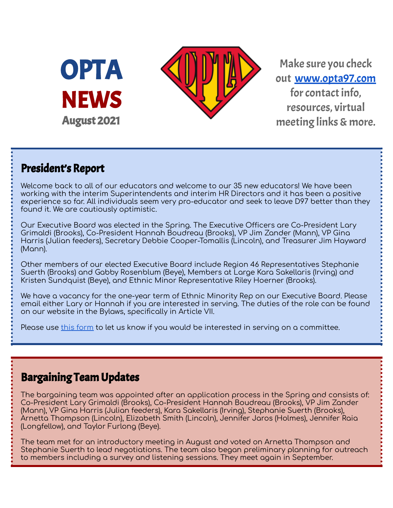



Make sure you check out [www.opta97.com](http://www.opta97.com) for contact info, resources, virtual meeting links & more.

## President's Report

Welcome back to all of our educators and welcome to our 35 new educators! We have been working with the interim Superintendents and interim HR Directors and it has been a positive experience so far. All individuals seem very pro-educator and seek to leave D97 better than they found it. We are cautiously optimistic.

Our Executive Board was elected in the Spring. The Executive Officers are Co-President Lary Grimaldi (Brooks), Co-President Hannah Boudreau (Brooks), VP Jim Zander (Mann), VP Gina Harris (Julian feeders), Secretary Debbie Cooper-Tomallis (Lincoln), and Treasurer Jim Hayward (Mann).

Other members of our elected Executive Board include Region 46 Representatives Stephanie Suerth (Brooks) and Gabby Rosenblum (Beye), Members at Large Kara Sakellaris (Irving) and Kristen Sundquist (Beye), and Ethnic Minor Representative Riley Hoerner (Brooks).

We have a vacancy for the one-year term of Ethnic Minority Rep on our Executive Board. Please email either Lary or Hannah if you are interested in serving. The duties of the role can be found on our website in the Bylaws, specifically in Article VII.

Please use this [form](https://forms.gle/PWNLZLvVpkbKZL8p8) to let us know if you would be interested in serving on a committee.

## Bargaining Team Updates

The bargaining team was appointed after an application process in the Spring and consists of: Co-President Lary Grimaldi (Brooks), Co-President Hannah Boudreau (Brooks), VP Jim Zander (Mann), VP Gina Harris (Julian feeders), Kara Sakellaris (Irving), Stephanie Suerth (Brooks), Arnetta Thompson (Lincoln), Elizabeth Smith (Lincoln), Jennifer Jaros (Holmes), Jennifer Raia (Longfellow), and Taylor Furlong (Beye).

The team met for an introductory meeting in August and voted on Arnetta Thompson and Stephanie Suerth to lead negotiations. The team also began preliminary planning for outreach to members including a survey and listening sessions. They meet again in September.